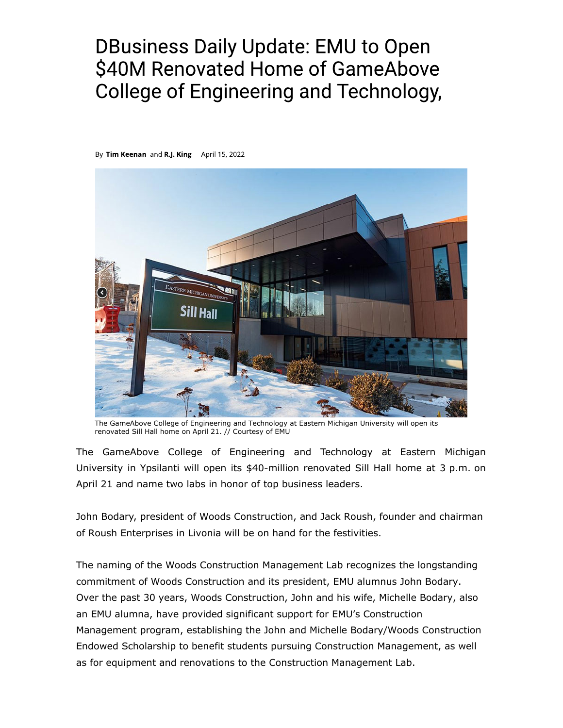## **DBusiness Daily Update: EMU to Open** \$40M Renovated Home of GameAbove **College of Engineering and Technology,**

By Tim Keenan and R.J. King April 15, 2022



The GameAbove College of Engineering and Technology at Eastern Michigan University will open its renovated Sill Hall home on April 21. // Courtesy of EMU

The GameAbove College of Engineering and Technology at Eastern Michigan University in Ypsilanti will open its \$40-million renovated Sill Hall home at 3 p.m. on April 21 and name two labs in honor of top business leaders.

John Bodary, president of Woods Construction, and Jack Roush, founder and chairman of Roush Enterprises in Livonia will be on hand for the festivities.

The naming of the Woods Construction Management Lab recognizes the longstanding commitment of Woods Construction and its president, EMU alumnus John Bodary. Over the past 30 years, Woods Construction, John and his wife, Michelle Bodary, also an EMU alumna, have provided significant support for EMU's Construction Management program, establishing the John and Michelle Bodary/Woods Construction Endowed Scholarship to benefit students pursuing Construction Management, as well as for equipment and renovations to the Construction Management Lab.